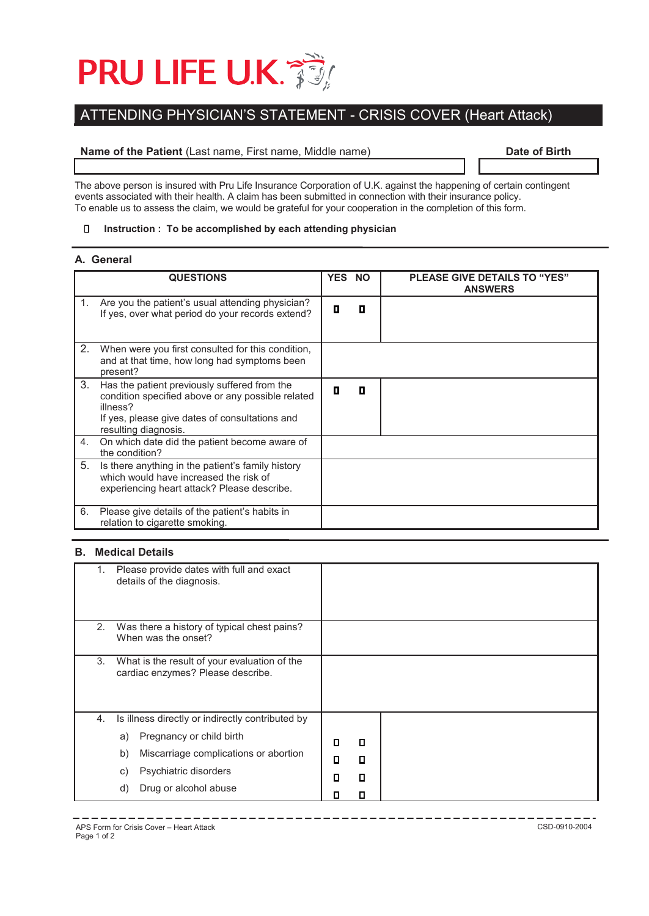

# ATTENDING PHYSICIAN'S STATEMENT - CRISIS COVER (Heart Attack)

# **Name of the Patient** (Last name, First name, Middle name) **Date of Birth**

The above person is insured with Pru Life Insurance Corporation of U.K. against the happening of certain contingent events associated with their health. A claim has been submitted in connection with their insurance policy. To enable us to assess the claim, we would be grateful for your cooperation in the completion of this form.

#### $\Box$ **Instruction : To be accomplished by each attending physician**

#### **A. General**

|    | <b>QUESTIONS</b>                                                                                                                                                                        | <b>YES</b> | <b>NO</b> | <b>PLEASE GIVE DETAILS TO "YES"</b><br><b>ANSWERS</b> |
|----|-----------------------------------------------------------------------------------------------------------------------------------------------------------------------------------------|------------|-----------|-------------------------------------------------------|
| 1. | Are you the patient's usual attending physician?<br>If yes, over what period do your records extend?                                                                                    | п          | П         |                                                       |
| 2. | When were you first consulted for this condition,<br>and at that time, how long had symptoms been<br>present?                                                                           |            |           |                                                       |
| 3. | Has the patient previously suffered from the<br>condition specified above or any possible related<br>illness?<br>If yes, please give dates of consultations and<br>resulting diagnosis. | п          | О         |                                                       |
| 4. | On which date did the patient become aware of<br>the condition?                                                                                                                         |            |           |                                                       |
| 5. | Is there anything in the patient's family history<br>which would have increased the risk of<br>experiencing heart attack? Please describe.                                              |            |           |                                                       |
| 6. | Please give details of the patient's habits in<br>relation to cigarette smoking.                                                                                                        |            |           |                                                       |

# **B. Medical Details**

|    | Please provide dates with full and exact<br>details of the diagnosis.             |   |   |  |
|----|-----------------------------------------------------------------------------------|---|---|--|
| 2. | Was there a history of typical chest pains?<br>When was the onset?                |   |   |  |
| 3. | What is the result of your evaluation of the<br>cardiac enzymes? Please describe. |   |   |  |
| 4. | Is illness directly or indirectly contributed by                                  |   |   |  |
|    | Pregnancy or child birth<br>a)                                                    | О | О |  |
|    | Miscarriage complications or abortion<br>b)                                       | О | п |  |
|    | Psychiatric disorders<br>C)                                                       | п | О |  |
|    | Drug or alcohol abuse<br>d)                                                       |   | П |  |

--------------